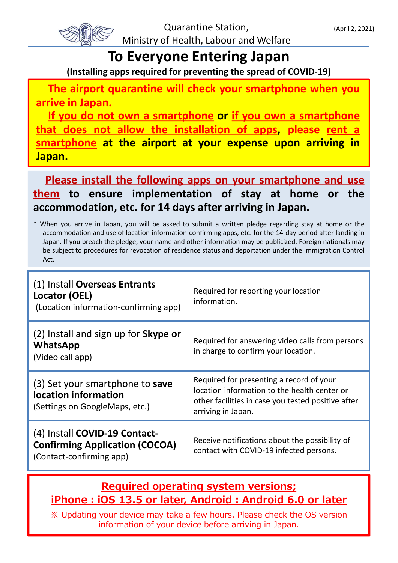

## **To Everyone Entering Japan**

**(Installing apps required for preventing the spread of COVID-19)**

**The airport quarantine will check your smartphone when you arrive in Japan.**

**If you do not own a smartphone or if you own a smartphone that does not allow the installation of apps, please rent a smartphone at the airport at your expense upon arriving in Japan.**

**Please install the following apps on your smartphone and use them to ensure implementation of stay at home or the accommodation, etc. for 14 days after arriving in Japan.**

\* When you arrive in Japan, you will be asked to submit a written pledge regarding stay at home or the accommodation and use of location information-confirming apps, etc. for the 14-day period after landing in Japan. If you breach the pledge, your name and other information may be publicized. Foreign nationals may be subject to procedures for revocation of residence status and deportation under the Immigration Control Act.

| (1) Install Overseas Entrants<br>Locator (OEL)<br>(Location information-confirming app)   | Required for reporting your location<br>information.                                                                                                                 |
|-------------------------------------------------------------------------------------------|----------------------------------------------------------------------------------------------------------------------------------------------------------------------|
| (2) Install and sign up for <b>Skype or</b><br>WhatsApp<br>(Video call app)               | Required for answering video calls from persons<br>in charge to confirm your location.                                                                               |
|                                                                                           |                                                                                                                                                                      |
| (3) Set your smartphone to save<br>location information<br>(Settings on GoogleMaps, etc.) | Required for presenting a record of your<br>location information to the health center or<br>other facilities in case you tested positive after<br>arriving in Japan. |

## **Required operating system versions; iPhone:iOS 13.5 or later, Android:Android 6.0 or later**

※ Updating your device may take a few hours. Please check the OS version information of your device before arriving in Japan.